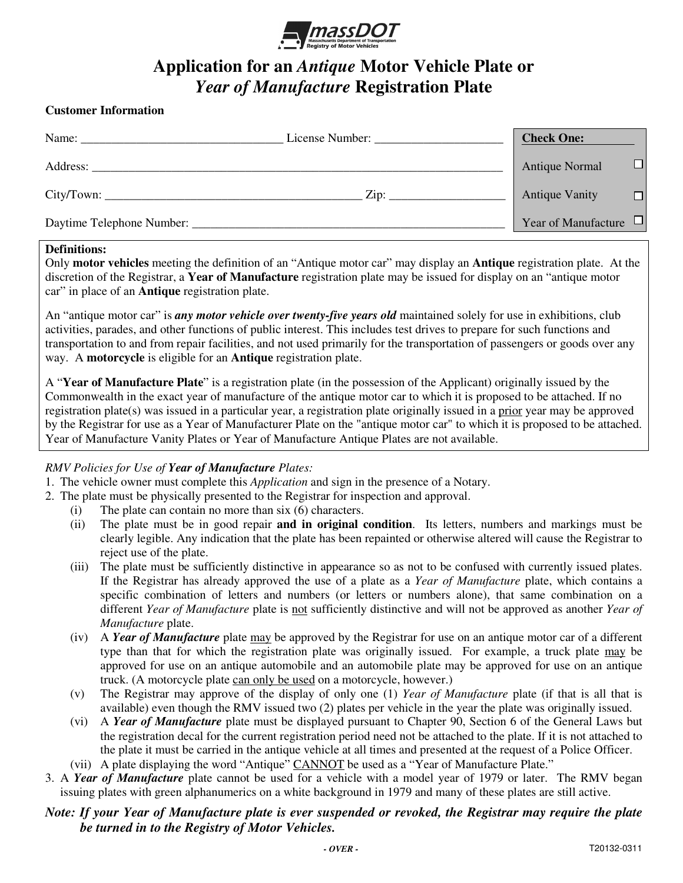

### **Application for an** *Antique* **Motor Vehicle Plate or**  *Year of Manufacture* **Registration Plate**

#### **Customer Information**

| Name:    | License Number:            | <b>Check One:</b>          |        |
|----------|----------------------------|----------------------------|--------|
| Address: |                            | <b>Antique Normal</b>      | $\Box$ |
|          | $\overline{\mathrm{Zip:}}$ | <b>Antique Vanity</b>      | $\Box$ |
|          |                            | Year of Manufacture $\Box$ |        |

#### **Definitions:**

Only **motor vehicles** meeting the definition of an "Antique motor car" may display an **Antique** registration plate. At the discretion of the Registrar, a **Year of Manufacture** registration plate may be issued for display on an "antique motor car" in place of an **Antique** registration plate.

An "antique motor car" is *any motor vehicle over twenty-five years old* maintained solely for use in exhibitions, club activities, parades, and other functions of public interest. This includes test drives to prepare for such functions and transportation to and from repair facilities, and not used primarily for the transportation of passengers or goods over any way. A **motorcycle** is eligible for an **Antique** registration plate.

A "**Year of Manufacture Plate**" is a registration plate (in the possession of the Applicant) originally issued by the Commonwealth in the exact year of manufacture of the antique motor car to which it is proposed to be attached. If no registration plate(s) was issued in a particular year, a registration plate originally issued in a prior year may be approved by the Registrar for use as a Year of Manufacturer Plate on the "antique motor car" to which it is proposed to be attached. Year of Manufacture Vanity Plates or Year of Manufacture Antique Plates are not available.

#### *RMV Policies for Use of Year of Manufacture Plates:*

- 1. The vehicle owner must complete this *Application* and sign in the presence of a Notary.
- 2. The plate must be physically presented to the Registrar for inspection and approval.
	- (i) The plate can contain no more than six (6) characters.
	- (ii) The plate must be in good repair **and in original condition**. Its letters, numbers and markings must be clearly legible. Any indication that the plate has been repainted or otherwise altered will cause the Registrar to reject use of the plate.
	- (iii) The plate must be sufficiently distinctive in appearance so as not to be confused with currently issued plates. If the Registrar has already approved the use of a plate as a *Year of Manufacture* plate, which contains a specific combination of letters and numbers (or letters or numbers alone), that same combination on a different *Year of Manufacture* plate is not sufficiently distinctive and will not be approved as another *Year of Manufacture* plate.
	- (iv) A *Year of Manufacture* plate may be approved by the Registrar for use on an antique motor car of a different type than that for which the registration plate was originally issued. For example, a truck plate may be approved for use on an antique automobile and an automobile plate may be approved for use on an antique truck. (A motorcycle plate can only be used on a motorcycle, however.)
	- (v) The Registrar may approve of the display of only one (1) *Year of Manufacture* plate (if that is all that is available) even though the RMV issued two (2) plates per vehicle in the year the plate was originally issued.
	- (vi) A *Year of Manufacture* plate must be displayed pursuant to Chapter 90, Section 6 of the General Laws but the registration decal for the current registration period need not be attached to the plate. If it is not attached to the plate it must be carried in the antique vehicle at all times and presented at the request of a Police Officer.
	- (vii) A plate displaying the word "Antique" CANNOT be used as a "Year of Manufacture Plate."
- 3. A *Year of Manufacture* plate cannot be used for a vehicle with a model year of 1979 or later. The RMV began issuing plates with green alphanumerics on a white background in 1979 and many of these plates are still active.

#### *Note: If your Year of Manufacture plate is ever suspended or revoked, the Registrar may require the plate be turned in to the Registry of Motor Vehicles.*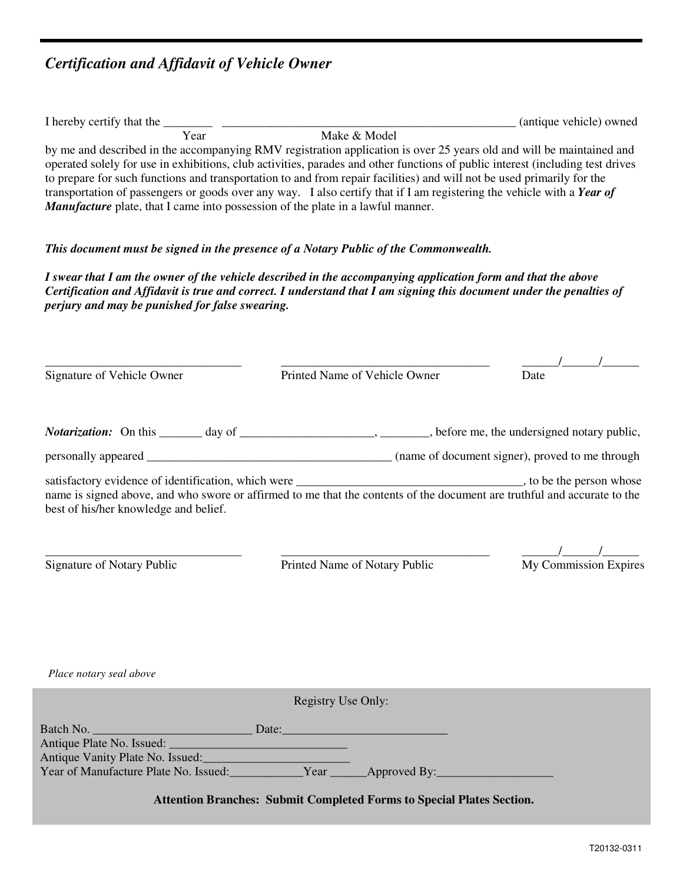## *Certification and Affidavit of Vehicle Owner*

|                                                                                                                                                                                                                                                                                                                                                                                                                                                                                                                                                                                                                                                                                                          |                                                                                                                                                                                                                                      | (antique vehicle) owned      |  |  |  |  |  |
|----------------------------------------------------------------------------------------------------------------------------------------------------------------------------------------------------------------------------------------------------------------------------------------------------------------------------------------------------------------------------------------------------------------------------------------------------------------------------------------------------------------------------------------------------------------------------------------------------------------------------------------------------------------------------------------------------------|--------------------------------------------------------------------------------------------------------------------------------------------------------------------------------------------------------------------------------------|------------------------------|--|--|--|--|--|
| I hereby certify that the $\frac{1}{\sqrt{1 + \frac{1}{n}} \sqrt{1 + \frac{1}{n}}}$ Make & Model<br>by me and described in the accompanying RMV registration application is over 25 years old and will be maintained and<br>operated solely for use in exhibitions, club activities, parades and other functions of public interest (including test drives<br>to prepare for such functions and transportation to and from repair facilities) and will not be used primarily for the<br>transportation of passengers or goods over any way. I also certify that if I am registering the vehicle with a Year of<br><b>Manufacture</b> plate, that I came into possession of the plate in a lawful manner. |                                                                                                                                                                                                                                      |                              |  |  |  |  |  |
|                                                                                                                                                                                                                                                                                                                                                                                                                                                                                                                                                                                                                                                                                                          | This document must be signed in the presence of a Notary Public of the Commonwealth.                                                                                                                                                 |                              |  |  |  |  |  |
| perjury and may be punished for false swearing.                                                                                                                                                                                                                                                                                                                                                                                                                                                                                                                                                                                                                                                          | I swear that I am the owner of the vehicle described in the accompanying application form and that the above<br>Certification and Affidavit is true and correct. I understand that I am signing this document under the penalties of |                              |  |  |  |  |  |
| Signature of Vehicle Owner                                                                                                                                                                                                                                                                                                                                                                                                                                                                                                                                                                                                                                                                               | Printed Name of Vehicle Owner                                                                                                                                                                                                        | Date                         |  |  |  |  |  |
|                                                                                                                                                                                                                                                                                                                                                                                                                                                                                                                                                                                                                                                                                                          | <i>Notarization:</i> On this _______ day of _______________________, _______, before me, the undersigned notary public,                                                                                                              |                              |  |  |  |  |  |
|                                                                                                                                                                                                                                                                                                                                                                                                                                                                                                                                                                                                                                                                                                          |                                                                                                                                                                                                                                      |                              |  |  |  |  |  |
| best of his/her knowledge and belief.                                                                                                                                                                                                                                                                                                                                                                                                                                                                                                                                                                                                                                                                    |                                                                                                                                                                                                                                      |                              |  |  |  |  |  |
| Signature of Notary Public                                                                                                                                                                                                                                                                                                                                                                                                                                                                                                                                                                                                                                                                               | Printed Name of Notary Public                                                                                                                                                                                                        | <b>My Commission Expires</b> |  |  |  |  |  |
| Place notary seal above                                                                                                                                                                                                                                                                                                                                                                                                                                                                                                                                                                                                                                                                                  |                                                                                                                                                                                                                                      |                              |  |  |  |  |  |
|                                                                                                                                                                                                                                                                                                                                                                                                                                                                                                                                                                                                                                                                                                          | Registry Use Only:                                                                                                                                                                                                                   |                              |  |  |  |  |  |
|                                                                                                                                                                                                                                                                                                                                                                                                                                                                                                                                                                                                                                                                                                          |                                                                                                                                                                                                                                      |                              |  |  |  |  |  |
|                                                                                                                                                                                                                                                                                                                                                                                                                                                                                                                                                                                                                                                                                                          |                                                                                                                                                                                                                                      |                              |  |  |  |  |  |
|                                                                                                                                                                                                                                                                                                                                                                                                                                                                                                                                                                                                                                                                                                          | <b>Attention Branches: Submit Completed Forms to Special Plates Section.</b>                                                                                                                                                         |                              |  |  |  |  |  |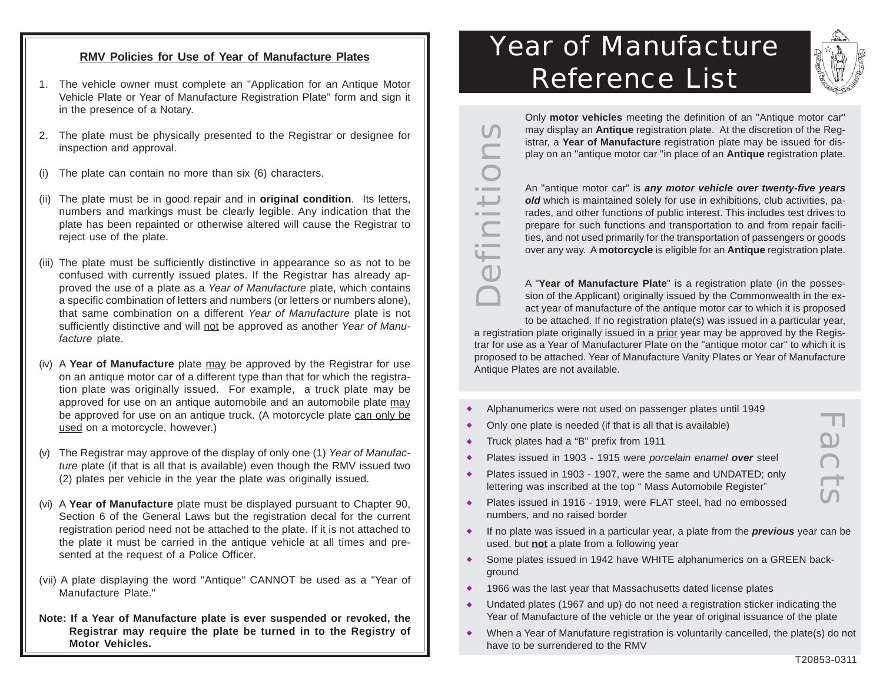#### **RMV Policies for Use of Year of Manufacture Plates**

- 1. The vehicle owner must complete an "Application for an Antique Motor Vehicle Plate or Year of Manufacture Registration Plate" form and sign it in the presence of a Notary.
- 2. The plate must be physically presented to the Registrar or designee for inspection and approval.
- (i) The plate can contain no more than six (6) characters.
- (ii) The plate must be in good repair and in **original condition**. Its letters, numbers and markings must be clearly legible. Any indication that the plate has been repainted or otherwise altered will cause the Registrar to reject use of the plate.
- (iii) The plate must be sufficiently distinctive in appearance so as not to be confused with currently issued plates. If the Registrar has already approved the use of a plate as a Year of Manufacture plate, which contains a specific combination of letters and numbers (or letters or numbers alone), that same combination on a different Year of Manufacture plate is not sufficiently distinctive and will not be approved as another Year of Manufacture plate.
- (iv) A **Year of Manufacture** plate may be approved by the Registrar for use on an antique motor car of a different type than that for which the registration plate was originally issued. For example, a truck plate may be approved for use on an antique automobile and an automobile plate may be approved for use on an antique truck. (A motorcycle plate can only be used on a motorcycle, however.)
- (v) The Registrar may approve of the display of only one (1) Year of Manufacture plate (if that is all that is available) even though the RMV issued two (2) plates per vehicle in the year the plate was originally issued.
- (vi) A **Year of Manufacture** plate must be displayed pursuant to Chapter 90, Section 6 of the General Laws but the registration decal for the current registration period need not be attached to the plate. If it is not attached to the plate it must be carried in the antique vehicle at all times and presented at the request of a Police Officer.
- (vii) A plate displaying the word "Antique" CANNOT be used as a "Year of Manufacture Plate."
- **Note: If a Year of Manufacture plate is ever suspended or revoked, the Registrar may require the plate be turned in to the Registry of Motor Vehicles.**

# Year of Manufacture Reference List



Only **motor vehicles** meeting the definition of an "Antique motor car"  $\bigcap$ may display an **Antique** registration plate. At the discretion of the Reg-Definitions istrar, a **Year of Manufacture** registration plate may be issued for dis- $\sim$   $\sim$  $\overline{\phantom{0}}$  $\overline{\phantom{a}}$ 

play on an "antique motor car "in place of an **Antique** registration plate. An "antique motor car" is **any motor vehicle over twenty-five years** *old* which is maintained solely for use in exhibitions, club activities, parades, and other functions of public interest. This includes test drives to

prepare for such functions and transportation to and from repair facilities, and not used primarily for the transportation of passengers or goods over any way. A **motorcycle** is eligible for an **Antique** registration plate.

A "**Year of Manufacture Plate**" is a registration plate (in the possession of the Applicant) originally issued by the Commonwealth in the exact year of manufacture of the antique motor car to which it is proposed to be attached. If no registration plate(s) was issued in a particular year,

a registration plate originally issued in a prior year may be approved by the Registrar for use as a Year of Manufacturer Plate on the "antique motor car" to which it is proposed to be attached. Year of Manufacture Vanity Plates or Year of Manufacture Antique Plates are not available.

- Alphanumerics were not used on passenger plates until 1949
- Only one plate is needed (if that is all that is available)
- Truck plates had a "B" prefix from 1911
- <sup>X</sup> Plates issued in 1903 1915 were porcelain enamel **over** steel
- Plates issued in 1903 1907, were the same and UNDATED; only lettering was inscribed at the top " Mass Automobile Register"
- Plates issued in 1916 1919, were FLAT steel, had no embossed numbers, and no raised border
- If no plate was issued in a particular year, a plate from the **previous** year can be used, but **not** a plate from a following year
- Some plates issued in 1942 have WHITE alphanumerics on a GREEN background
- 1966 was the last year that Massachusetts dated license plates
- Undated plates (1967 and up) do not need a registration sticker indicating the Year of Manufacture of the vehicle or the year of original issuance of the plate
- <sup>X</sup> When a Year of Manufature registration is voluntarily cancelled, the plate(s) do not have to be surrendered to the RMV

Facts